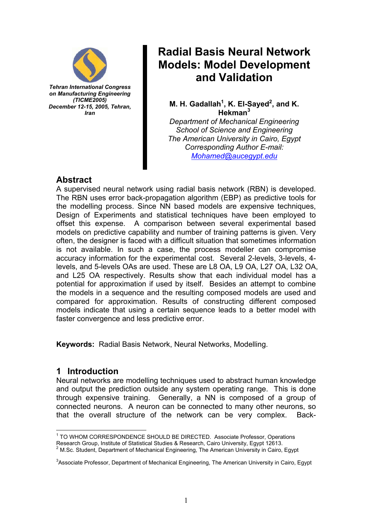

*Tehran International Congress on Manufacturing Engineering (TICME2005) December 12-15, 2005, Tehran, Iran* 

# **Radial Basis Neural Network Models: Model Development and Validation**

M. H. Gadallah<sup>1</sup>, K. El-Sayed<sup>2</sup>, and K. **Hekman<sup>3</sup>**

*Department of Mechanical Engineering School of Science and Engineering The American University in Cairo, Egypt Corresponding Author E-mail: Mohamed@aucegypt.edu*

## **Abstract**

A supervised neural network using radial basis network (RBN) is developed. The RBN uses error back-propagation algorithm (EBP) as predictive tools for the modelling process. Since NN based models are expensive techniques, Design of Experiments and statistical techniques have been employed to offset this expense. A comparison between several experimental based models on predictive capability and number of training patterns is given. Very often, the designer is faced with a difficult situation that sometimes information is not available. In such a case, the process modeller can compromise accuracy information for the experimental cost. Several 2-levels, 3-levels, 4 levels, and 5-levels OAs are used. These are L8 OA, L9 OA, L27 OA, L32 OA, and L25 OA respectively. Results show that each individual model has a potential for approximation if used by itself. Besides an attempt to combine the models in a sequence and the resulting composed models are used and compared for approximation. Results of constructing different composed models indicate that using a certain sequence leads to a better model with faster convergence and less predictive error.

**Keywords:** Radial Basis Network, Neural Networks, Modelling.

## **1 Introduction**

Neural networks are modelling techniques used to abstract human knowledge and output the prediction outside any system operating range. This is done through expensive training. Generally, a NN is composed of a group of connected neurons. A neuron can be connected to many other neurons, so that the overall structure of the network can be very complex. Back-

 $\overline{1}$ <sup>1</sup> TO WHOM CORRESPONDENCE SHOULD BE DIRECTED. Associate Professor, Operations Research Group, Institute of Statistical Studies & Research, Cairo University, Egypt 12613. 2 M.Sc. Student, Department of Mechanical Engineering, The American University in Cairo, Egypt

<sup>&</sup>lt;sup>3</sup>Associate Professor, Department of Mechanical Engineering, The American University in Cairo, Egypt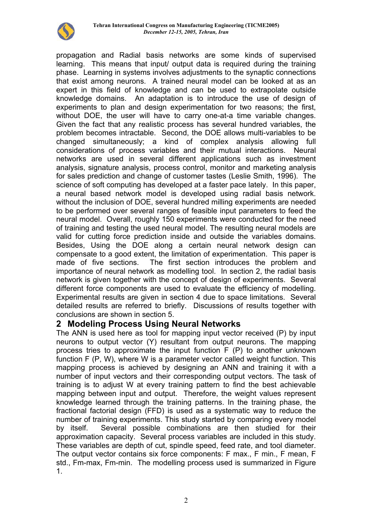

propagation and Radial basis networks are some kinds of supervised learning. This means that input/ output data is required during the training phase. Learning in systems involves adjustments to the synaptic connections that exist among neurons. A trained neural model can be looked at as an expert in this field of knowledge and can be used to extrapolate outside knowledge domains. An adaptation is to introduce the use of design of experiments to plan and design experimentation for two reasons; the first, without DOE, the user will have to carry one-at-a time variable changes. Given the fact that any realistic process has several hundred variables, the problem becomes intractable. Second, the DOE allows multi-variables to be changed simultaneously; a kind of complex analysis allowing full considerations of process variables and their mutual interactions. Neural networks are used in several different applications such as investment analysis, signature analysis, process control, monitor and marketing analysis for sales prediction and change of customer tastes (Leslie Smith, 1996). The science of soft computing has developed at a faster pace lately. In this paper, a neural based network model is developed using radial basis network. without the inclusion of DOE, several hundred milling experiments are needed to be performed over several ranges of feasible input parameters to feed the neural model. Overall, roughly 150 experiments were conducted for the need of training and testing the used neural model. The resulting neural models are valid for cutting force prediction inside and outside the variables domains. Besides, Using the DOE along a certain neural network design can compensate to a good extent, the limitation of experimentation. This paper is made of five sections. The first section introduces the problem and importance of neural network as modelling tool. In section 2, the radial basis network is given together with the concept of design of experiments. Several different force components are used to evaluate the efficiency of modelling. Experimental results are given in section 4 due to space limitations. Several detailed results are referred to briefly. Discussions of results together with conclusions are shown in section 5.

#### **2 Modeling Process Using Neural Networks**

The ANN is used here as tool for mapping input vector received (P) by input neurons to output vector (Y) resultant from output neurons. The mapping process tries to approximate the input function F (P) to another unknown function F (P, W), where W is a parameter vector called weight function. This mapping process is achieved by designing an ANN and training it with a number of input vectors and their corresponding output vectors. The task of training is to adjust W at every training pattern to find the best achievable mapping between input and output. Therefore, the weight values represent knowledge learned through the training patterns. In the training phase, the fractional factorial design (FFD) is used as a systematic way to reduce the number of training experiments. This study started by comparing every model by itself. Several possible combinations are then studied for their approximation capacity. Several process variables are included in this study. These variables are depth of cut, spindle speed, feed rate, and tool diameter. The output vector contains six force components: F max., F min., F mean, F std., Fm-max, Fm-min. The modelling process used is summarized in Figure 1.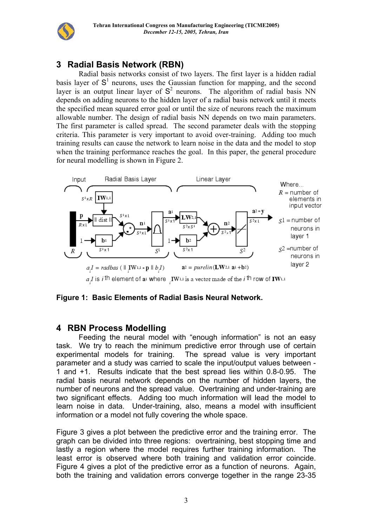

## **3 Radial Basis Network (RBN)**

Radial basis networks consist of two layers. The first layer is a hidden radial basis layer of  $S<sup>1</sup>$  neurons, uses the Gaussian function for mapping, and the second layer is an output linear layer of  $S<sup>2</sup>$  neurons. The algorithm of radial basis NN depends on adding neurons to the hidden layer of a radial basis network until it meets the specified mean squared error goal or until the size of neurons reach the maximum allowable number. The design of radial basis NN depends on two main parameters. The first parameter is called spread. The second parameter deals with the stopping criteria. This parameter is very important to avoid over-training. Adding too much training results can cause the network to learn noise in the data and the model to stop when the training performance reaches the goal. In this paper, the general procedure for neural modelling is shown in Figure 2.



a *I* is *i*th element of a<sub>1</sub> where IW<sub>1</sub>, is a vector made of the *i*<sup>th</sup> row of IW<sub>1,1</sub>

#### **Figure 1: Basic Elements of Radial Basis Neural Network.**

### **4 RBN Process Modelling**

Feeding the neural model with "enough information" is not an easy task. We try to reach the minimum predictive error through use of certain experimental models for training. The spread value is very important parameter and a study was carried to scale the input/output values between - 1 and +1. Results indicate that the best spread lies within 0.8-0.95. The radial basis neural network depends on the number of hidden layers, the number of neurons and the spread value. Overtraining and under-training are two significant effects. Adding too much information will lead the model to learn noise in data. Under-training, also, means a model with insufficient information or a model not fully covering the whole space.

Figure 3 gives a plot between the predictive error and the training error. The graph can be divided into three regions: overtraining, best stopping time and lastly a region where the model requires further training information. The least error is observed where both training and validation error coincide. Figure 4 gives a plot of the predictive error as a function of neurons. Again, both the training and validation errors converge together in the range 23-35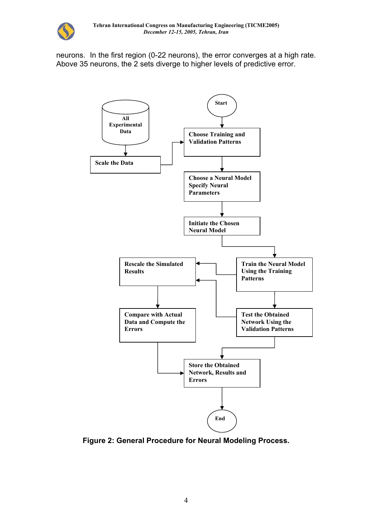

neurons. In the first region (0-22 neurons), the error converges at a high rate. Above 35 neurons, the 2 sets diverge to higher levels of predictive error.



**Figure 2: General Procedure for Neural Modeling Process.**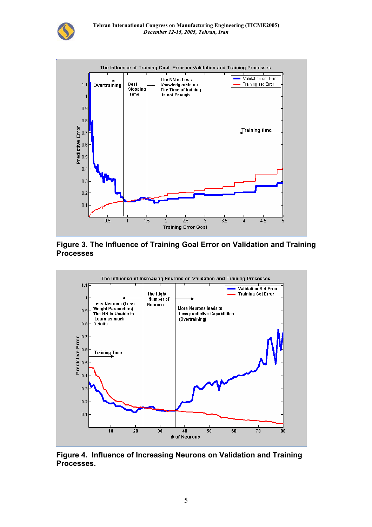



**Figure 3. The Influence of Training Goal Error on Validation and Training Processes** 



**Figure 4. Influence of Increasing Neurons on Validation and Training Processes.**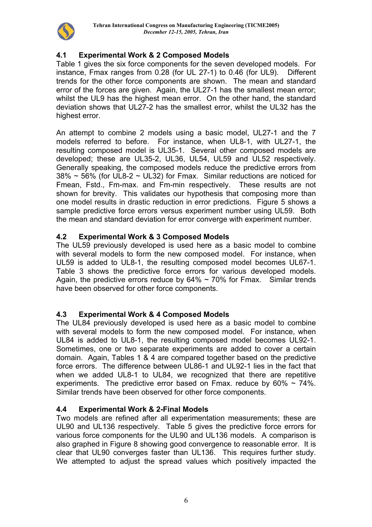

### **4.1 Experimental Work & 2 Composed Models**

Table 1 gives the six force components for the seven developed models. For instance, Fmax ranges from 0.28 (for UL 27-1) to 0.46 (for UL9). Different trends for the other force components are shown. The mean and standard error of the forces are given. Again, the UL27-1 has the smallest mean error; whilst the UL9 has the highest mean error. On the other hand, the standard deviation shows that UL27-2 has the smallest error, whilst the UL32 has the highest error.

An attempt to combine 2 models using a basic model, UL27-1 and the 7 models referred to before. For instance, when UL8-1, with UL27-1, the resulting composed model is UL35-1. Several other composed models are developed; these are UL35-2, UL36, UL54, UL59 and UL52 respectively. Generally speaking, the composed models reduce the predictive errors from  $38\% \sim 56\%$  (for UL8-2  $\sim$  UL32) for Fmax. Similar reductions are noticed for Fmean, Fstd., Fm-max. and Fm-min respectively. These results are not shown for brevity. This validates our hypothesis that composing more than one model results in drastic reduction in error predictions. Figure 5 shows a sample predictive force errors versus experiment number using UL59. Both the mean and standard deviation for error converge with experiment number.

#### **4.2 Experimental Work & 3 Composed Models**

The UL59 previously developed is used here as a basic model to combine with several models to form the new composed model. For instance, when UL59 is added to UL8-1, the resulting composed model becomes UL67-1. Table 3 shows the predictive force errors for various developed models. Again, the predictive errors reduce by  $64\% \sim 70\%$  for Fmax. Similar trends have been observed for other force components.

#### **4.3 Experimental Work & 4 Composed Models**

The UL84 previously developed is used here as a basic model to combine with several models to form the new composed model. For instance, when UL84 is added to UL8-1, the resulting composed model becomes UL92-1. Sometimes, one or two separate experiments are added to cover a certain domain. Again, Tables 1 & 4 are compared together based on the predictive force errors. The difference between UL86-1 and UL92-1 lies in the fact that when we added UL8-1 to UL84, we recognized that there are repetitive experiments. The predictive error based on Fmax. reduce by  $60\% \sim 74\%$ . Similar trends have been observed for other force components.

#### **4.4 Experimental Work & 2-Final Models**

Two models are refined after all experimentation measurements; these are UL90 and UL136 respectively. Table 5 gives the predictive force errors for various force components for the UL90 and UL136 models. A comparison is also graphed in Figure 8 showing good convergence to reasonable error. It is clear that UL90 converges faster than UL136. This requires further study. We attempted to adjust the spread values which positively impacted the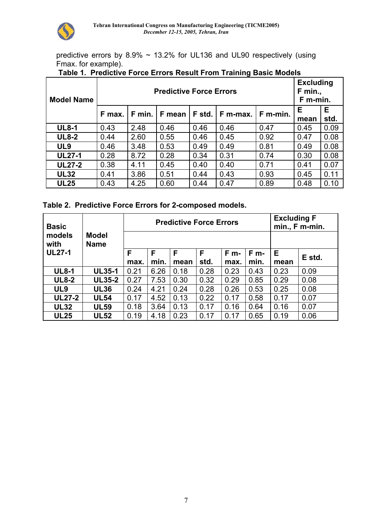

predictive errors by 8.9% ~ 13.2% for UL136 and UL90 respectively (using Fmax. for example).

| <b>Model Name</b> |                                                              | <b>Excluding</b><br>F min.,<br>F m-min. |      |      |      |      |           |            |
|-------------------|--------------------------------------------------------------|-----------------------------------------|------|------|------|------|-----------|------------|
|                   | F m-min.<br>F min.<br>F mean<br>F std.<br>F max.<br>F m-max. |                                         |      |      |      |      | Е<br>mean | E.<br>std. |
| <b>UL8-1</b>      | 0.43                                                         | 2.48                                    | 0.46 | 0.46 | 0.46 | 0.47 | 0.45      | 0.09       |
| <b>UL8-2</b>      | 0.44                                                         | 2.60                                    | 0.55 | 0.46 | 0.45 | 0.92 | 0.47      | 0.08       |
| UL <sub>9</sub>   | 0.46                                                         | 3.48                                    | 0.53 | 0.49 | 0.49 | 0.81 | 0.49      | 0.08       |
| <b>UL27-1</b>     | 0.28                                                         | 8.72                                    | 0.28 | 0.34 | 0.31 | 0.74 | 0.30      | 0.08       |
| <b>UL27-2</b>     | 0.38                                                         | 4.11                                    | 0.45 | 0.40 | 0.40 | 0.71 | 0.41      | 0.07       |
| <b>UL32</b>       | 0.41                                                         | 3.86                                    | 0.51 | 0.44 | 0.43 | 0.93 | 0.45      | 0.11       |
| <b>UL25</b>       | 0.43                                                         | 4.25                                    | 0.60 | 0.44 | 0.47 | 0.89 | 0.48      | 0.10       |

## **Table 1. Predictive Force Errors Result From Training Basic Models**

| Table 2. Predictive Force Errors for 2-composed models. |  |  |
|---------------------------------------------------------|--|--|
|                                                         |  |  |

| <b>Basic</b>    |                             |      | <b>Predictive Force Errors</b> | <b>Excluding F</b><br>min., F m-min. |      |         |         |      |        |
|-----------------|-----------------------------|------|--------------------------------|--------------------------------------|------|---------|---------|------|--------|
| models<br>with  | <b>Model</b><br><b>Name</b> |      |                                |                                      |      |         |         |      |        |
| <b>UL27-1</b>   |                             | F    | F                              | F                                    | F    | $F_{m}$ | $F_{m}$ | Е    | E std. |
|                 |                             | max. | min.                           | mean                                 | std. | max.    | min.    | mean |        |
| <b>UL8-1</b>    | <b>UL35-1</b>               | 0.21 | 6.26                           | 0.18                                 | 0.28 | 0.23    | 0.43    | 0.23 | 0.09   |
| <b>UL8-2</b>    | <b>UL35-2</b>               | 0.27 | 7.53                           | 0.30                                 | 0.32 | 0.29    | 0.85    | 0.29 | 0.08   |
| UL <sub>9</sub> | <b>UL36</b>                 | 0.24 | 4.21                           | 0.24                                 | 0.28 | 0.26    | 0.53    | 0.25 | 0.08   |
| <b>UL27-2</b>   | <b>UL54</b>                 | 0.17 | 4.52                           | 0.13                                 | 0.22 | 0.17    | 0.58    | 0.17 | 0.07   |
| <b>UL32</b>     | <b>UL59</b>                 | 0.18 | 3.64                           | 0.13                                 | 0.17 | 0.16    | 0.64    | 0.16 | 0.07   |
| <b>UL25</b>     | <b>UL52</b>                 | 0.19 | 4.18                           | 0.23                                 | 0.17 | 0.17    | 0.65    | 0.19 | 0.06   |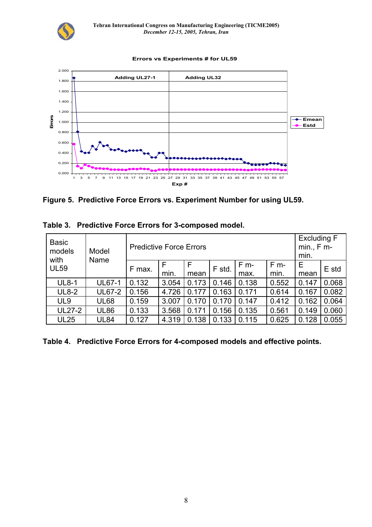

#### **Errors vs Experiments # for UL59**



**Figure 5. Predictive Force Errors vs. Experiment Number for using UL59.** 

| <b>Basic</b><br>models | Model<br>Name | <b>Predictive Force Errors</b> | <b>Excluding F</b><br>$min. F m-$<br>min. |       |        |        |        |       |       |
|------------------------|---------------|--------------------------------|-------------------------------------------|-------|--------|--------|--------|-------|-------|
| with<br><b>UL59</b>    |               | F max.                         | F                                         |       | F std. | $F$ m- | $F$ m- | Е     | E std |
|                        |               |                                | min.                                      | mean  |        | max.   | min.   | mean  |       |
| <b>UL8-1</b>           | <b>UL67-1</b> | 0.132                          | 3.054                                     | 0.173 | 0.146  | 0.138  | 0.552  | 0.147 | 0.068 |
| <b>UL8-2</b>           | <b>UL67-2</b> | 0.156                          | 4.726                                     | 0.177 | 0.163  | 0.171  | 0.614  | 0.167 | 0.082 |
| UL <sub>9</sub>        | <b>UL68</b>   | 0.159                          | 3.007                                     | 0.170 | 0.170  | 0.147  | 0.412  | 0.162 | 0.064 |
| <b>UL27-2</b>          | <b>UL86</b>   | 0.133                          | 3.568                                     | 0.171 | 0.156  | 0.135  | 0.561  | 0.149 | 0.060 |
| <b>UL25</b>            | <b>UL84</b>   | 0.127                          | 4.319                                     | 0.138 | 0.133  | 0.115  | 0.625  | 0.128 | 0.055 |

**Table 3. Predictive Force Errors for 3-composed model.** 

**Table 4. Predictive Force Errors for 4-composed models and effective points.**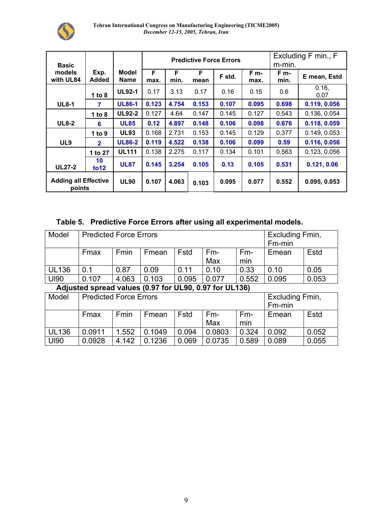

| <b>Basic</b>                          | <b>Predictive Force Errors</b> |                      |           |           |           |        |              | Excluding F min., F<br>m-min. |               |
|---------------------------------------|--------------------------------|----------------------|-----------|-----------|-----------|--------|--------------|-------------------------------|---------------|
| models<br>with UL84                   | Exp.<br><b>Added</b>           | Model<br><b>Name</b> | F<br>max. | F<br>min. | F<br>mean | F std. | F m-<br>max. | F m-<br>min.                  | E mean, Estd  |
|                                       | 1 to $8$                       | <b>UL92-1</b>        | 0.17      | 3.13      | 0.17      | 0.16   | 0.15         | 0.6                           | 0.16.<br>0.07 |
| <b>UL8-1</b>                          | 7                              | <b>UL86-1</b>        | 0.123     | 4.754     | 0.153     | 0.107  | 0.095        | 0.698                         | 0.119, 0.056  |
|                                       | 1 to $8$                       | <b>UL92-2</b>        | 0.127     | 4.64      | 0.147     | 0.145  | 0.127        | 0.543                         | 0.136, 0.054  |
| <b>UL8-2</b>                          | 6                              | <b>UL85</b>          | 0.12      | 4.897     | 0.148     | 0.106  | 0.098        | 0.676                         | 0.118, 0.059  |
|                                       | 1 to $9$                       | <b>UL93</b>          | 0.168     | 2.731     | 0.153     | 0.145  | 0.129        | 0.377                         | 0.149, 0.053  |
| UL <sub>9</sub>                       | $\overline{\mathbf{2}}$        | <b>UL86-2</b>        | 0.119     | 4.522     | 0.138     | 0.106  | 0.099        | 0.59                          | 0.116, 0.056  |
|                                       | 1 to 27                        | <b>UL111</b>         | 0.138     | 2.275     | 0.117     | 0.134  | 0.101        | 0.563                         | 0.123, 0.056  |
| <b>UL27-2</b>                         | 10<br>to 12                    | <b>UL87</b>          | 0.145     | 3.254     | 0.105     | 0.13   | 0.105        | 0.531                         | 0.121, 0.06   |
| <b>Adding all Effective</b><br>points |                                | <b>UL90</b>          | 0.107     | 4.063     | 0.103     | 0.095  | 0.077        | 0.552                         | 0.095, 0.053  |

#### **Table 5. Predictive Force Errors after using all experimental models.**

| Model        | <b>Predicted Force Errors</b> |       | Excluding Fmin,<br>Fm-min |       |                                                        |              |                 |       |  |
|--------------|-------------------------------|-------|---------------------------|-------|--------------------------------------------------------|--------------|-----------------|-------|--|
|              | Fmax                          | Fmin  | Fmean                     | Fstd  | Fm-<br>Max                                             | $Fm-$<br>min | Emean           | Estd  |  |
| <b>UL136</b> | 0.1                           | 0.87  | 0.09                      | 0.11  | 0.10                                                   | 0.33         | 0.10            | 0.05  |  |
| <b>UI90</b>  | 0.107                         | 4.063 | 0.103                     | 0.095 | 0.077                                                  | 0.552        | 0.095           | 0.053 |  |
|              |                               |       |                           |       | Adjusted spread values (0.97 for UL90, 0.97 for UL136) |              |                 |       |  |
| Model        | <b>Predicted Force Errors</b> |       |                           |       |                                                        |              | Excluding Fmin, |       |  |
|              |                               |       |                           |       |                                                        |              | Fm-min          |       |  |
|              | Fmax                          | Fmin  | Fmean                     | Fstd  | $Fm-$                                                  | $Fm-$        | Emean           | Estd  |  |
|              |                               |       |                           |       | Max                                                    | min          |                 |       |  |
| <b>UL136</b> | 0.0911                        | 1.552 | 0.1049                    | 0.094 | 0.0803                                                 | 0.324        | 0.092           | 0.052 |  |
| <b>UI90</b>  | 0.0928                        | 4.142 | 0.1236                    | 0.069 | 0.0735                                                 | 0.589        | 0.089           | 0.055 |  |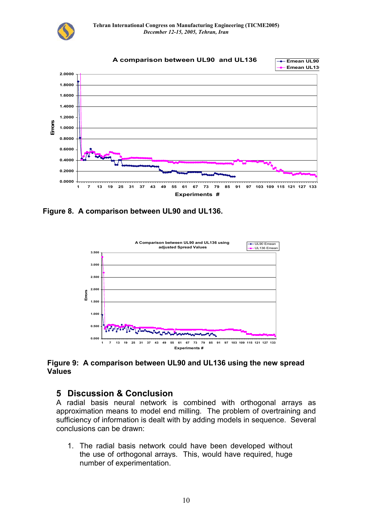



**Figure 8. A comparison between UL90 and UL136.** 



#### **Figure 9: A comparison between UL90 and UL136 using the new spread Values**

### **5 Discussion & Conclusion**

A radial basis neural network is combined with orthogonal arrays as approximation means to model end milling. The problem of overtraining and sufficiency of information is dealt with by adding models in sequence. Several conclusions can be drawn:

1. The radial basis network could have been developed without the use of orthogonal arrays. This, would have required, huge number of experimentation.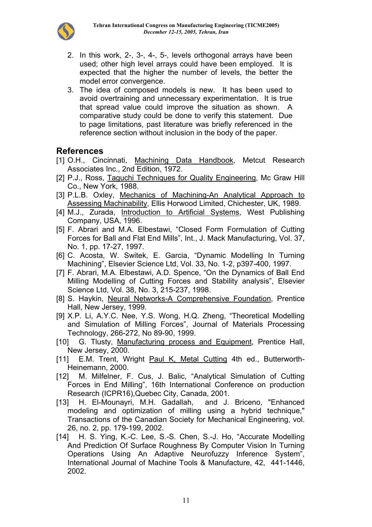

- 2. In this work, 2-, 3-, 4-, 5-, levels orthogonal arrays have been used; other high level arrays could have been employed. It is expected that the higher the number of levels, the better the model error convergence.
- 3. The idea of composed models is new. It has been used to avoid overtraining and unnecessary experimentation. It is true that spread value could improve the situation as shown. A comparative study could be done to verify this statement. Due to page limitations, past literature was briefly referenced in the reference section without inclusion in the body of the paper.

## **References**

- [1] O.H., Cincinnati, Machining Data Handbook, Metcut Research Associates Inc., 2nd Edition, 1972.
- [2] P.J., Ross, Taguchi Techniques for Quality Engineering, Mc Graw Hill Co., New York, 1988.
- [3] P.L.B. Oxley, Mechanics of Machining-An Analytical Approach to Assessing Machinability, Ellis Horwood Limited, Chichester, UK, 1989.
- [4] M.J., Zurada, Introduction to Artificial Systems, West Publishing Company, USA, 1996.
- [5] F. Abrari and M.A. Elbestawi, "Closed Form Formulation of Cutting Forces for Ball and Flat End Mills", Int., J. Mack Manufacturing, Vol. 37, No. 1, pp. 17-27, 1997.
- [6] C. Acosta, W. Switek, E. Garcia, "Dynamic Modelling In Turning Machining", Elsevier Science Ltd, Vol. 33, No. 1-2, p397-400, 1997.
- [7] F. Abrari, M.A. Elbestawi, A.D. Spence, "On the Dynamics of Ball End Milling Modelling of Cutting Forces and Stability analysis", Elsevier Science Ltd, Vol. 38, No. 3, 215-237, 1998.
- [8] S. Haykin, Neural Networks-A Comprehensive Foundation, Prentice Hall, New Jersey, 1999.
- [9] X.P. Li, A.Y.C. Nee, Y.S. Wong, H.Q. Zheng, "Theoretical Modelling and Simulation of Milling Forces", Journal of Materials Processing Technology, 266-272, No 89-90, 1999.
- [10] G. Tlusty, Manufacturing process and Equipment, Prentice Hall, New Jersey, 2000.
- [11] E.M. Trent, Wright Paul K, Metal Cutting 4th ed., Butterworth-Heinemann, 2000.
- [12] M. Milfelner, F. Cus, J. Balic, "Analytical Simulation of Cutting Forces in End Milling", 16th International Conference on production Research (ICPR16),Quebec City, Canada, 2001.
- [13] H. El-Mounayri, M.H. Gadallah, and J. Briceno, "Enhanced modeling and optimization of milling using a hybrid technique," Transactions of the Canadian Society for Mechanical Engineering, vol. 26, no. 2, pp. 179-199, 2002.
- [14] H. S. Ying, K.-C. Lee, S.-S. Chen, S.-J. Ho, "Accurate Modelling And Prediction Of Surface Roughness By Computer Vision In Turning Operations Using An Adaptive Neurofuzzy Inference System", International Journal of Machine Tools & Manufacture, 42, 441-1446, 2002.